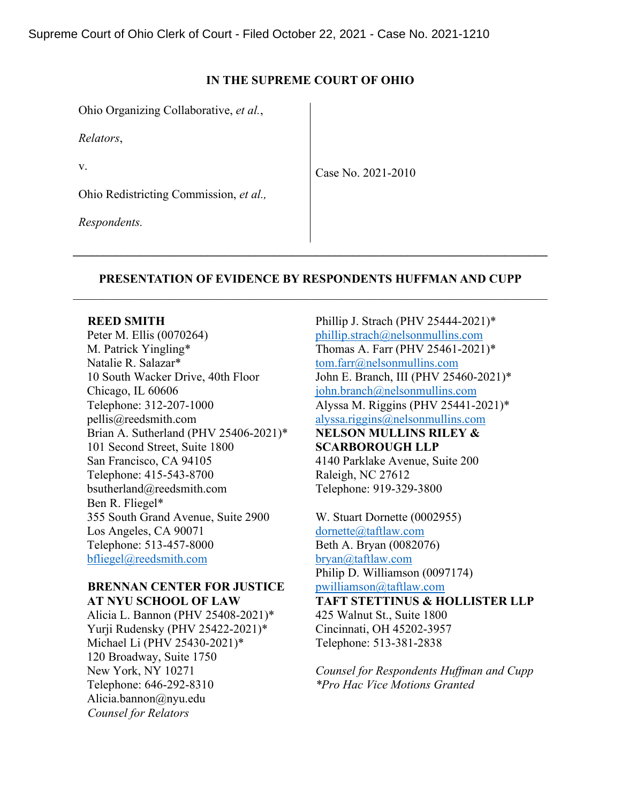## **IN THE SUPREME COURT OF OHIO**

Ohio Organizing Collaborative, *et al.*,

*Relators*,

v.

Case No. 2021-2010

Ohio Redistricting Commission, *et al.,*

*Respondents.*

# **PRESENTATION OF EVIDENCE BY RESPONDENTS HUFFMAN AND CUPP**

**\_\_\_\_\_\_\_\_\_\_\_\_\_\_\_\_\_\_\_\_\_\_\_\_\_\_\_\_\_\_\_\_\_\_\_\_\_\_\_\_\_\_\_\_\_\_\_\_\_\_\_\_\_\_\_\_\_\_\_\_\_\_\_\_\_\_\_\_\_\_\_\_\_\_\_\_\_\_** 

#### **REED SMITH**

Peter M. Ellis (0070264) M. Patrick Yingling\* Natalie R. Salazar\* 10 South Wacker Drive, 40th Floor Chicago, IL 60606 Telephone: 312-207-1000 pellis@reedsmith.com Brian A. Sutherland (PHV 25406-2021)\* 101 Second Street, Suite 1800 San Francisco, CA 94105 Telephone: 415-543-8700 bsutherland@reedsmith.com Ben R. Fliegel\* 355 South Grand Avenue, Suite 2900 Los Angeles, CA 90071 Telephone: 513-457-8000 [bfliegel@reedsmith.com](mailto:bfliegel@reedsmith.com)

## **BRENNAN CENTER FOR JUSTICE AT NYU SCHOOL OF LAW**

Alicia L. Bannon (PHV 25408-2021)\* Yurji Rudensky (PHV 25422-2021)\* Michael Li (PHV 25430-2021)\* 120 Broadway, Suite 1750 New York, NY 10271 Telephone: 646-292-8310 Alicia.bannon@nyu.edu  *Counsel for Relators*

Phillip J. Strach (PHV 25444-2021)\* [phillip.strach@nelsonmullins.com](mailto:phillip.strach@nelsonmullins.com) Thomas A. Farr (PHV 25461-2021)\* [tom.farr@nelsonmullins.com](mailto:tom.farr@nelsonmullins.com) John E. Branch, III (PHV 25460-2021)\* [john.branch@nelsonmullins.com](mailto:john.branch@nelsonmullins.com) Alyssa M. Riggins (PHV 25441-2021)\* [alyssa.riggins@nelsonmullins.com](mailto:alyssa.riggins@nelsonmullins.com) **NELSON MULLINS RILEY & SCARBOROUGH LLP**  4140 Parklake Avenue, Suite 200 Raleigh, NC 27612 Telephone: 919-329-3800

W. Stuart Dornette (0002955) [dornette@taftlaw.com](mailto:dornette@taftlaw.com) Beth A. Bryan (0082076) [bryan@taftlaw.com](mailto:bryan@taftlaw.com) Philip D. Williamson (0097174) [pwilliamson@taftlaw.com](mailto:pwilliamson@taftlaw.com)

**TAFT STETTINUS & HOLLISTER LLP**  425 Walnut St., Suite 1800 Cincinnati, OH 45202-3957 Telephone: 513-381-2838

*Counsel for Respondents Huffman and Cupp \*Pro Hac Vice Motions Granted*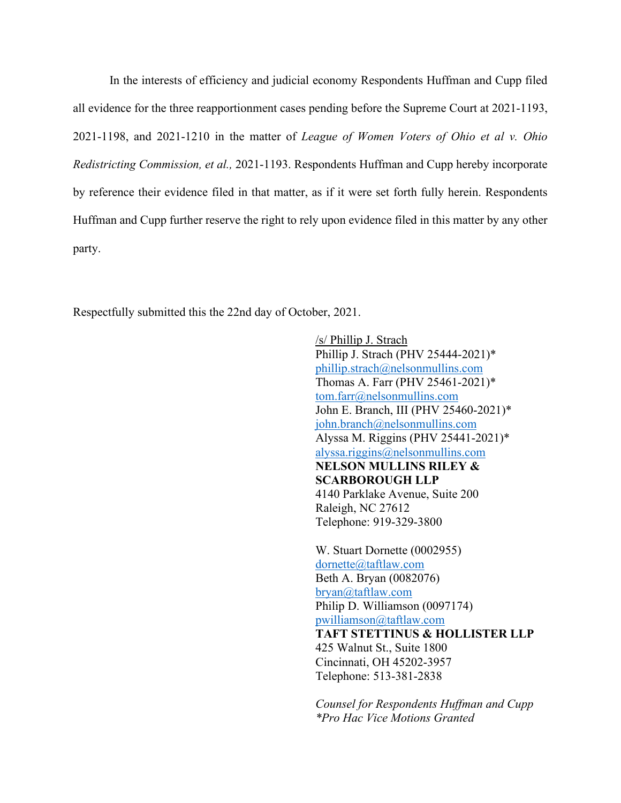In the interests of efficiency and judicial economy Respondents Huffman and Cupp filed all evidence for the three reapportionment cases pending before the Supreme Court at 2021-1193, 2021-1198, and 2021-1210 in the matter of *League of Women Voters of Ohio et al v. Ohio Redistricting Commission, et al.,* 2021-1193. Respondents Huffman and Cupp hereby incorporate by reference their evidence filed in that matter, as if it were set forth fully herein. Respondents Huffman and Cupp further reserve the right to rely upon evidence filed in this matter by any other party.

Respectfully submitted this the 22nd day of October, 2021.

/s/ Phillip J. Strach Phillip J. Strach (PHV 25444-2021)\* [phillip.strach@nelsonmullins.com](mailto:phillip.strach@nelsonmullins.com) Thomas A. Farr (PHV 25461-2021)\* [tom.farr@nelsonmullins.com](mailto:tom.farr@nelsonmullins.com) John E. Branch, III (PHV 25460-2021)\* [john.branch@nelsonmullins.com](mailto:john.branch@nelsonmullins.com) Alyssa M. Riggins (PHV 25441-2021)\* [alyssa.riggins@nelsonmullins.com](mailto:alyssa.riggins@nelsonmullins.com) **NELSON MULLINS RILEY & SCARBOROUGH LLP**  4140 Parklake Avenue, Suite 200 Raleigh, NC 27612 Telephone: 919-329-3800

W. Stuart Dornette (0002955) [dornette@taftlaw.com](mailto:dornette@taftlaw.com) Beth A. Bryan (0082076) [bryan@taftlaw.com](mailto:bryan@taftlaw.com) Philip D. Williamson (0097174) [pwilliamson@taftlaw.com](mailto:pwilliamson@taftlaw.com) **TAFT STETTINUS & HOLLISTER LLP**  425 Walnut St., Suite 1800 Cincinnati, OH 45202-3957 Telephone: 513-381-2838

*Counsel for Respondents Huffman and Cupp \*Pro Hac Vice Motions Granted*